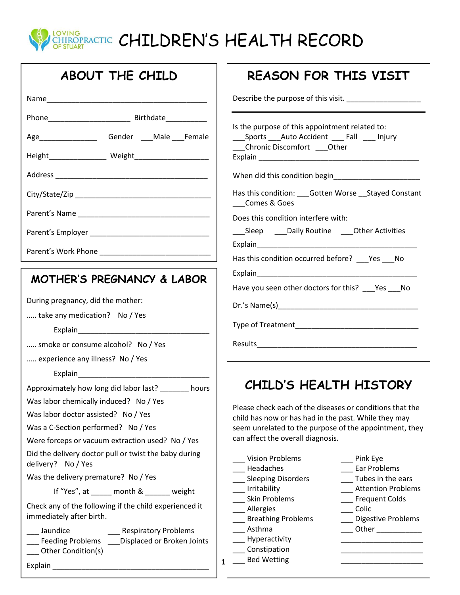

| ABOUT THE CHILD                                                                    | <b>REASON FOR THIS VISIT</b>                                                                                                                                                                                                   |
|------------------------------------------------------------------------------------|--------------------------------------------------------------------------------------------------------------------------------------------------------------------------------------------------------------------------------|
|                                                                                    |                                                                                                                                                                                                                                |
|                                                                                    | Is the purpose of this appointment related to:                                                                                                                                                                                 |
| Age____________________Gender ____Male ___Female                                   | _____Sports _____Auto Accident _______Fall ______ Injury<br>__Chronic Discomfort ___Other                                                                                                                                      |
|                                                                                    |                                                                                                                                                                                                                                |
|                                                                                    |                                                                                                                                                                                                                                |
|                                                                                    | Has this condition: ___ Gotten Worse __ Stayed Constant<br>Comes & Goes                                                                                                                                                        |
|                                                                                    | Does this condition interfere with:                                                                                                                                                                                            |
|                                                                                    | ___Sleep _____Daily Routine _____Other Activities                                                                                                                                                                              |
|                                                                                    | Has this condition occurred before? ___ Yes ___ No                                                                                                                                                                             |
|                                                                                    | Explain explaint and the contract of the contract of the contract of the contract of the contract of the contract of the contract of the contract of the contract of the contract of the contract of the contract of the contr |
| <b>MOTHER'S PREGNANCY &amp; LABOR</b>                                              | Have you seen other doctors for this? _____ Yes _____ No                                                                                                                                                                       |
| During pregnancy, did the mother:                                                  |                                                                                                                                                                                                                                |
| take any medication? No / Yes                                                      |                                                                                                                                                                                                                                |
|                                                                                    |                                                                                                                                                                                                                                |
| smoke or consume alcohol? No / Yes                                                 |                                                                                                                                                                                                                                |
| experience any illness? No / Yes                                                   |                                                                                                                                                                                                                                |
|                                                                                    |                                                                                                                                                                                                                                |
| Approximately how long did labor last? ______ hours                                | CHILD'S HEALTH HISTORY                                                                                                                                                                                                         |
| Was labor chemically induced? No / Yes                                             |                                                                                                                                                                                                                                |
| Was labor doctor assisted? No / Yes                                                | Please check each of the diseases or conditions that the<br>child has now or has had in the past. While they may                                                                                                               |
| Was a C-Section performed? No / Yes                                                | seem unrelated to the purpose of the appointment, they                                                                                                                                                                         |
| Were forceps or vacuum extraction used? No / Yes                                   | can affect the overall diagnosis.                                                                                                                                                                                              |
| Did the delivery doctor pull or twist the baby during<br>delivery? No / Yes        | <b>Vision Problems</b><br>___ Pink Eye<br>Headaches<br>Ear Problems                                                                                                                                                            |
| Was the delivery premature? No / Yes                                               | <b>Sleeping Disorders</b><br>Tubes in the ears                                                                                                                                                                                 |
| If "Yes", at _____ month & ______ weight                                           | Irritability<br><b>Attention Problems</b>                                                                                                                                                                                      |
| Check any of the following if the child experienced it<br>immediately after birth. | <b>Skin Problems</b><br><b>Frequent Colds</b><br>Allergies<br>Colic<br><b>Breathing Problems</b><br><b>Digestive Problems</b>                                                                                                  |
| Jaundice<br>___ Respiratory Problems                                               | Asthma                                                                                                                                                                                                                         |
| Feeding Problems ___Displaced or Broken Joints<br>Other Condition(s)               | Hyperactivity<br>Constipation                                                                                                                                                                                                  |
|                                                                                    | <b>Bed Wetting</b><br>$\mathbf{1}$                                                                                                                                                                                             |
| Explain                                                                            |                                                                                                                                                                                                                                |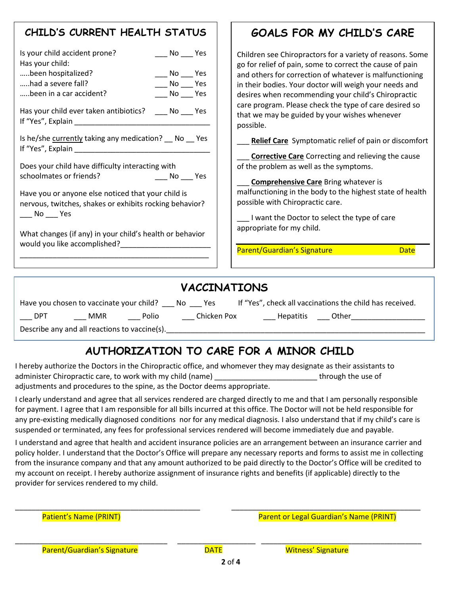## **CHILD'S CURRENT HEALTH STATUS**

| Is your child accident prone?<br>$\rule{1em}{0.15mm}$ No $\rule{1em}{0.15mm}$ Yes<br>Has your child:<br>been hospitalized?<br>$\sqrt{N}$ No $\sqrt{N}$ Yes<br>had a severe fall?<br>$\sqrt{N}$ No $\sqrt{Y}$ Yes<br>been in a car accident?<br>$N$ o $N$<br>Has your child ever taken antibiotics? ______ No _____ Yes<br>If "Yes", Explain                                                                                                                                                                                                                                                                                                        | Children see Chiropractors for a variety of reasons. Some<br>go for relief of pain, some to correct the cause of pain<br>and others for correction of whatever is malfunctioning<br>in their bodies. Your doctor will weigh your needs and<br>desires when recommending your child's Chiropractic<br>care program. Please check the type of care desired so<br>that we may be guided by your wishes whenever<br>possible. |
|----------------------------------------------------------------------------------------------------------------------------------------------------------------------------------------------------------------------------------------------------------------------------------------------------------------------------------------------------------------------------------------------------------------------------------------------------------------------------------------------------------------------------------------------------------------------------------------------------------------------------------------------------|---------------------------------------------------------------------------------------------------------------------------------------------------------------------------------------------------------------------------------------------------------------------------------------------------------------------------------------------------------------------------------------------------------------------------|
| Is he/she currently taking any medication? $\sim$ No $\sim$ Yes<br>If "Yes", Explain<br>Does your child have difficulty interacting with<br>schoolmates or friends?<br>No Yes<br>Have you or anyone else noticed that your child is<br>nervous, twitches, shakes or exhibits rocking behavior?<br>$\rule{1em}{0.15mm}$ No $\rule{1em}{0.15mm}$ Yes<br>What changes (if any) in your child's health or behavior<br>would you like accomplished?<br>Notified:<br>Some product of the second state of the second state of the second state of the second state of the second state of the second state of the second state of the second state of the | <b>Relief Care</b> Symptomatic relief of pain or discomfort<br><b>Corrective Care</b> Correcting and relieving the cause<br>of the problem as well as the symptoms.<br><b>Comprehensive Care Bring whatever is</b><br>malfunctioning in the body to the highest state of health<br>possible with Chiropractic care.<br>I want the Doctor to select the type of care<br>appropriate for my child.                          |
| \ <i>  A M M</i> TN   A TT A                                                                                                                                                                                                                                                                                                                                                                                                                                                                                                                                                                                                                       | Parent/Guardian's Signature<br><b>Date</b>                                                                                                                                                                                                                                                                                                                                                                                |

| <b>VACCINATIONS</b> |                                          |       |          |             |                  |                                                          |  |  |  |
|---------------------|------------------------------------------|-------|----------|-------------|------------------|----------------------------------------------------------|--|--|--|
|                     | Have you chosen to vaccinate your child? |       | ` No Yes |             |                  | If "Yes", check all vaccinations the child has received. |  |  |  |
| <b>DPT</b>          | <b>MMR</b>                               | Polio |          | Chicken Pox | <b>Hepatitis</b> | Other                                                    |  |  |  |
|                     |                                          |       |          |             |                  |                                                          |  |  |  |

Describe any and all reactions to vaccine(s).

# **AUTHORIZATION TO CARE FOR A MINOR CHILD**

I hereby authorize the Doctors in the Chiropractic office, and whomever they may designate as their assistants to administer Chiropractic care, to work with my child (name) example the use of through the use of adjustments and procedures to the spine, as the Doctor deems appropriate.

I clearly understand and agree that all services rendered are charged directly to me and that I am personally responsible for payment. I agree that I am responsible for all bills incurred at this office. The Doctor will not be held responsible for any pre-existing medically diagnosed conditions nor for any medical diagnosis. I also understand that if my child's care is suspended or terminated, any fees for professional services rendered will become immediately due and payable.

I understand and agree that health and accident insurance policies are an arrangement between an insurance carrier and policy holder. I understand that the Doctor's Office will prepare any necessary reports and forms to assist me in collecting from the insurance company and that any amount authorized to be paid directly to the Doctor's Office will be credited to my account on receipt. I hereby authorize assignment of insurance rights and benefits (if applicable) directly to the provider for services rendered to my child.

\_\_\_\_\_\_\_\_\_\_\_\_\_\_\_\_\_\_\_\_\_\_\_\_\_\_\_\_\_\_\_\_\_\_\_\_\_\_\_\_\_\_\_\_\_ \_\_\_\_\_\_\_\_\_\_\_\_\_\_\_\_\_\_\_\_\_\_\_\_\_\_\_\_\_\_\_\_\_\_\_\_\_\_\_\_\_\_\_\_\_\_

Patient's Name (PRINT) Patient's Name (PRINT)

**GOALS FOR MY CHILD'S CARE**

**2** of **4**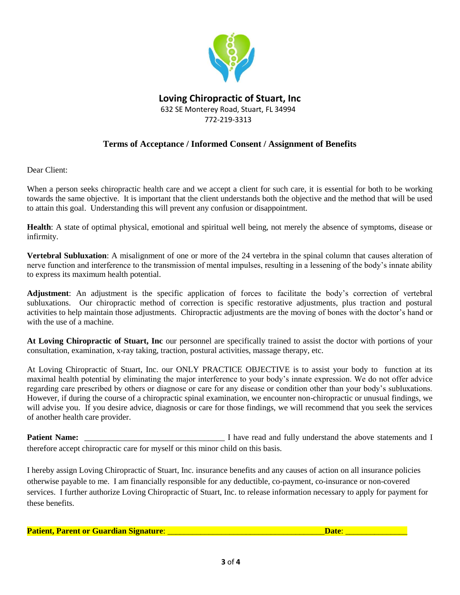

### **Loving Chiropractic of Stuart, Inc** 632 SE Monterey Road, Stuart, FL 34994 772-219-3313

#### **Terms of Acceptance / Informed Consent / Assignment of Benefits**

Dear Client:

When a person seeks chiropractic health care and we accept a client for such care, it is essential for both to be working towards the same objective. It is important that the client understands both the objective and the method that will be used to attain this goal. Understanding this will prevent any confusion or disappointment.

**Health**: A state of optimal physical, emotional and spiritual well being, not merely the absence of symptoms, disease or infirmity.

**Vertebral Subluxation**: A misalignment of one or more of the 24 vertebra in the spinal column that causes alteration of nerve function and interference to the transmission of mental impulses, resulting in a lessening of the body's innate ability to express its maximum health potential.

**Adjustment**: An adjustment is the specific application of forces to facilitate the body's correction of vertebral subluxations. Our chiropractic method of correction is specific restorative adjustments, plus traction and postural activities to help maintain those adjustments. Chiropractic adjustments are the moving of bones with the doctor's hand or with the use of a machine.

**At Loving Chiropractic of Stuart, Inc** our personnel are specifically trained to assist the doctor with portions of your consultation, examination, x-ray taking, traction, postural activities, massage therapy, etc.

At Loving Chiropractic of Stuart, Inc. our ONLY PRACTICE OBJECTIVE is to assist your body to function at its maximal health potential by eliminating the major interference to your body's innate expression. We do not offer advice regarding care prescribed by others or diagnose or care for any disease or condition other than your body's subluxations. However, if during the course of a chiropractic spinal examination, we encounter non-chiropractic or unusual findings, we will advise you. If you desire advice, diagnosis or care for those findings, we will recommend that you seek the services of another health care provider.

**Patient Name:** \_\_\_\_\_\_\_\_\_\_\_\_\_\_\_\_\_\_\_\_\_\_\_\_\_\_\_\_\_\_\_\_\_\_ I have read and fully understand the above statements and I therefore accept chiropractic care for myself or this minor child on this basis.

I hereby assign Loving Chiropractic of Stuart, Inc. insurance benefits and any causes of action on all insurance policies otherwise payable to me. I am financially responsible for any deductible, co-payment, co-insurance or non-covered services. I further authorize Loving Chiropractic of Stuart, Inc. to release information necessary to apply for payment for these benefits.